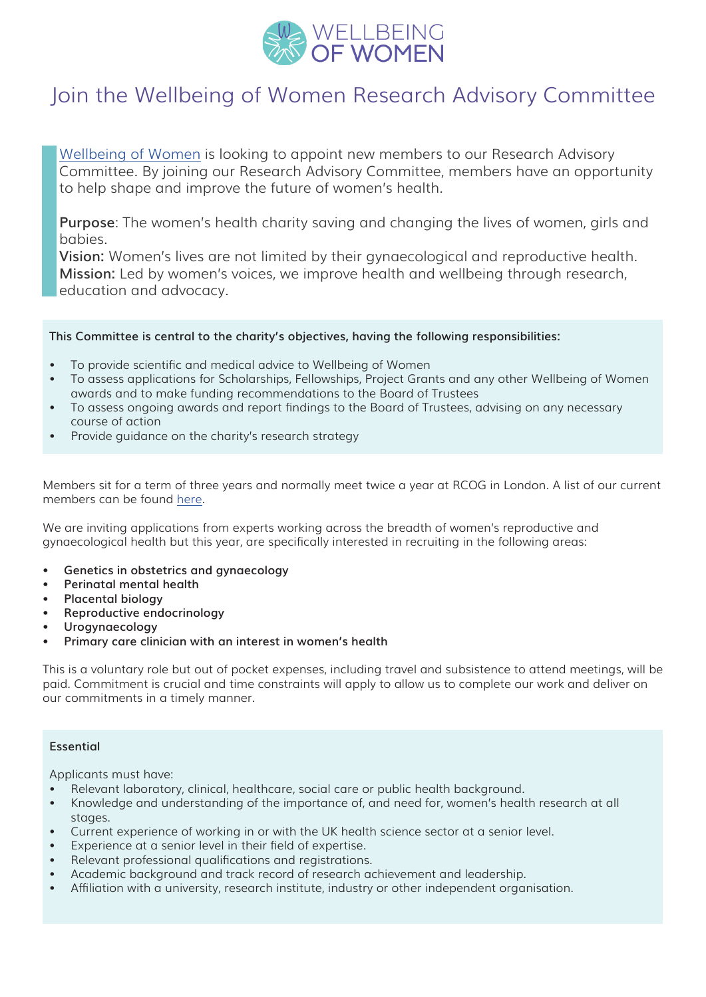

## Join the Wellbeing of Women Research Advisory Committee

[Wellbeing of Women](https://www.wellbeingofwomen.org.uk/) is looking to appoint new members to our Research Advisory Committee. By joining our Research Advisory Committee, members have an opportunity to help shape and improve the future of women's health.

**Purpose**: The women's health charity saving and changing the lives of women, girls and babies.

**Vision:** Women's lives are not limited by their gynaecological and reproductive health. **Mission:** Led by women's voices, we improve health and wellbeing through research, education and advocacy.

## **This Committee is central to the charity's objectives, having the following responsibilities:**

- To provide scientific and medical advice to Wellbeing of Women
- To assess applications for Scholarships, Fellowships, Project Grants and any other Wellbeing of Women awards and to make funding recommendations to the Board of Trustees
- To assess ongoing awards and report findings to the Board of Trustees, advising on any necessary course of action
- Provide guidance on the charity's research strategy

Members sit for a term of three years and normally meet twice a year at RCOG in London. A list of our current members can be found [here](https://www.wellbeingofwomen.org.uk/for-researchers/#our_research_advisory_committee).

We are inviting applications from experts working across the breadth of women's reproductive and gynaecological health but this year, are specifically interested in recruiting in the following areas:

- **• Genetics in obstetrics and gynaecology**
- **• Perinatal mental health**
- **• Placental biology**
- **• Reproductive endocrinology**
- **• Urogynaecology**
- **• Primary care clinician with an interest in women's health**

This is a voluntary role but out of pocket expenses, including travel and subsistence to attend meetings, will be paid. Commitment is crucial and time constraints will apply to allow us to complete our work and deliver on our commitments in a timely manner.

## **Essential**

Applicants must have:

- Relevant laboratory, clinical, healthcare, social care or public health background.
- Knowledge and understanding of the importance of, and need for, women's health research at all stages.
- Current experience of working in or with the UK health science sector at a senior level.
- Experience at a senior level in their field of expertise.
- Relevant professional qualifications and registrations.
- Academic background and track record of research achievement and leadership.
- Affiliation with a university, research institute, industry or other independent organisation.